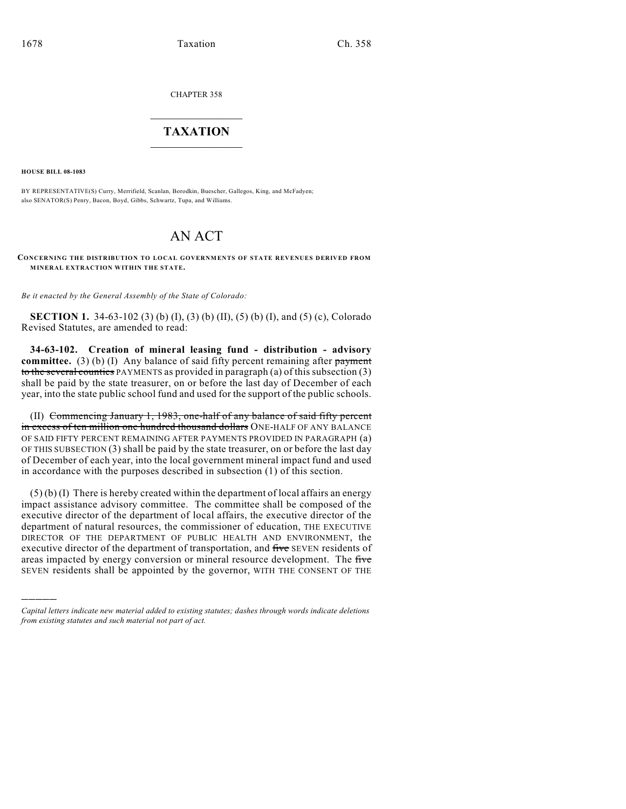CHAPTER 358

# $\mathcal{L}_\text{max}$  . The set of the set of the set of the set of the set of the set of the set of the set of the set of the set of the set of the set of the set of the set of the set of the set of the set of the set of the set **TAXATION**  $\_$

**HOUSE BILL 08-1083**

)))))

BY REPRESENTATIVE(S) Curry, Merrifield, Scanlan, Borodkin, Buescher, Gallegos, King, and McFadyen; also SENATOR(S) Penry, Bacon, Boyd, Gibbs, Schwartz, Tupa, and Williams.

# AN ACT

**CONCERNING THE DISTRIBUTION TO LOCAL GOVERNMENTS OF STATE REVENUES DERIVED FROM MINERAL EXTRACTION WITHIN THE STATE.**

*Be it enacted by the General Assembly of the State of Colorado:*

**SECTION 1.** 34-63-102 (3) (b) (I), (3) (b) (II), (5) (b) (I), and (5) (c), Colorado Revised Statutes, are amended to read:

**34-63-102. Creation of mineral leasing fund - distribution - advisory committee.** (3) (b) (I) Any balance of said fifty percent remaining after payment to the several counties PAYMENTS as provided in paragraph (a) of this subsection (3) shall be paid by the state treasurer, on or before the last day of December of each year, into the state public school fund and used for the support of the public schools.

(II) Commencing January 1, 1983, one-half of any balance of said fifty percent in excess of ten million one hundred thousand dollars ONE-HALF OF ANY BALANCE OF SAID FIFTY PERCENT REMAINING AFTER PAYMENTS PROVIDED IN PARAGRAPH (a) OF THIS SUBSECTION (3) shall be paid by the state treasurer, on or before the last day of December of each year, into the local government mineral impact fund and used in accordance with the purposes described in subsection (1) of this section.

(5) (b) (I) There is hereby created within the department of local affairs an energy impact assistance advisory committee. The committee shall be composed of the executive director of the department of local affairs, the executive director of the department of natural resources, the commissioner of education, THE EXECUTIVE DIRECTOR OF THE DEPARTMENT OF PUBLIC HEALTH AND ENVIRONMENT, the executive director of the department of transportation, and five SEVEN residents of areas impacted by energy conversion or mineral resource development. The five SEVEN residents shall be appointed by the governor, WITH THE CONSENT OF THE

*Capital letters indicate new material added to existing statutes; dashes through words indicate deletions from existing statutes and such material not part of act.*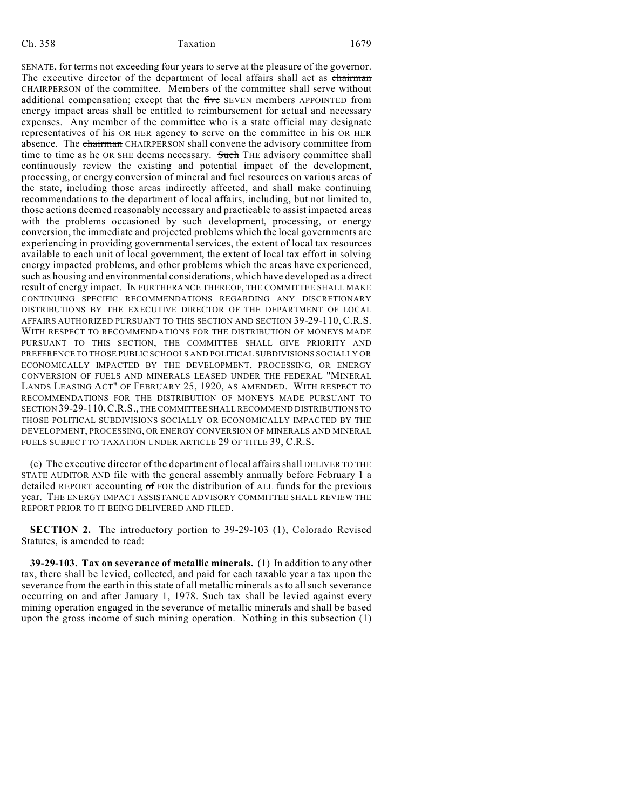SENATE, for terms not exceeding four years to serve at the pleasure of the governor. The executive director of the department of local affairs shall act as chairman CHAIRPERSON of the committee. Members of the committee shall serve without additional compensation; except that the five SEVEN members APPOINTED from energy impact areas shall be entitled to reimbursement for actual and necessary expenses. Any member of the committee who is a state official may designate representatives of his OR HER agency to serve on the committee in his OR HER absence. The chairman CHAIRPERSON shall convene the advisory committee from time to time as he OR SHE deems necessary. Such THE advisory committee shall continuously review the existing and potential impact of the development, processing, or energy conversion of mineral and fuel resources on various areas of the state, including those areas indirectly affected, and shall make continuing recommendations to the department of local affairs, including, but not limited to, those actions deemed reasonably necessary and practicable to assist impacted areas with the problems occasioned by such development, processing, or energy conversion, the immediate and projected problems which the local governments are experiencing in providing governmental services, the extent of local tax resources available to each unit of local government, the extent of local tax effort in solving energy impacted problems, and other problems which the areas have experienced, such as housing and environmental considerations, which have developed as a direct result of energy impact. IN FURTHERANCE THEREOF, THE COMMITTEE SHALL MAKE CONTINUING SPECIFIC RECOMMENDATIONS REGARDING ANY DISCRETIONARY DISTRIBUTIONS BY THE EXECUTIVE DIRECTOR OF THE DEPARTMENT OF LOCAL AFFAIRS AUTHORIZED PURSUANT TO THIS SECTION AND SECTION 39-29-110, C.R.S. WITH RESPECT TO RECOMMENDATIONS FOR THE DISTRIBUTION OF MONEYS MADE PURSUANT TO THIS SECTION, THE COMMITTEE SHALL GIVE PRIORITY AND PREFERENCE TO THOSE PUBLIC SCHOOLS AND POLITICAL SUBDIVISIONS SOCIALLY OR ECONOMICALLY IMPACTED BY THE DEVELOPMENT, PROCESSING, OR ENERGY CONVERSION OF FUELS AND MINERALS LEASED UNDER THE FEDERAL "MINERAL LANDS LEASING ACT" OF FEBRUARY 25, 1920, AS AMENDED. WITH RESPECT TO RECOMMENDATIONS FOR THE DISTRIBUTION OF MONEYS MADE PURSUANT TO SECTION 39-29-110,C.R.S., THE COMMITTEE SHALL RECOMMEND DISTRIBUTIONS TO THOSE POLITICAL SUBDIVISIONS SOCIALLY OR ECONOMICALLY IMPACTED BY THE DEVELOPMENT, PROCESSING, OR ENERGY CONVERSION OF MINERALS AND MINERAL FUELS SUBJECT TO TAXATION UNDER ARTICLE 29 OF TITLE 39, C.R.S.

(c) The executive director of the department of local affairs shall DELIVER TO THE STATE AUDITOR AND file with the general assembly annually before February 1 a detailed REPORT accounting of FOR the distribution of ALL funds for the previous year. THE ENERGY IMPACT ASSISTANCE ADVISORY COMMITTEE SHALL REVIEW THE REPORT PRIOR TO IT BEING DELIVERED AND FILED.

**SECTION 2.** The introductory portion to 39-29-103 (1), Colorado Revised Statutes, is amended to read:

**39-29-103. Tax on severance of metallic minerals.** (1) In addition to any other tax, there shall be levied, collected, and paid for each taxable year a tax upon the severance from the earth in this state of all metallic minerals as to all such severance occurring on and after January 1, 1978. Such tax shall be levied against every mining operation engaged in the severance of metallic minerals and shall be based upon the gross income of such mining operation. Nothing in this subsection  $(1)$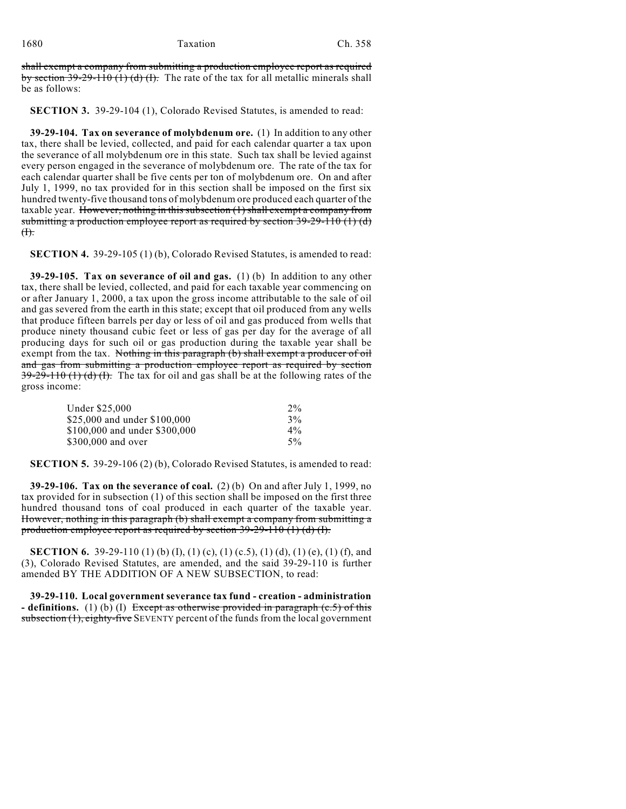shall exempt a company from submitting a production employee report as required by section  $39-29-110$  (1) (d) (f). The rate of the tax for all metallic minerals shall be as follows:

**SECTION 3.** 39-29-104 (1), Colorado Revised Statutes, is amended to read:

**39-29-104. Tax on severance of molybdenum ore.** (1) In addition to any other tax, there shall be levied, collected, and paid for each calendar quarter a tax upon the severance of all molybdenum ore in this state. Such tax shall be levied against every person engaged in the severance of molybdenum ore. The rate of the tax for each calendar quarter shall be five cents per ton of molybdenum ore. On and after July 1, 1999, no tax provided for in this section shall be imposed on the first six hundred twenty-five thousand tons of molybdenum ore produced each quarter of the taxable year. However, nothing in this subsection  $(1)$  shall exempt a company from submitting a production employee report as required by section  $39-29-110$  (1) (d)  $H$ .

**SECTION 4.** 39-29-105 (1) (b), Colorado Revised Statutes, is amended to read:

**39-29-105. Tax on severance of oil and gas.** (1) (b) In addition to any other tax, there shall be levied, collected, and paid for each taxable year commencing on or after January 1, 2000, a tax upon the gross income attributable to the sale of oil and gas severed from the earth in this state; except that oil produced from any wells that produce fifteen barrels per day or less of oil and gas produced from wells that produce ninety thousand cubic feet or less of gas per day for the average of all producing days for such oil or gas production during the taxable year shall be exempt from the tax. Nothing in this paragraph (b) shall exempt a producer of oil and gas from submitting a production employee report as required by section  $39-29-110$  (1) (d) (f). The tax for oil and gas shall be at the following rates of the gross income:

| $2\%$ |
|-------|
| 3%    |
| $4\%$ |
| $5\%$ |
|       |

**SECTION 5.** 39-29-106 (2) (b), Colorado Revised Statutes, is amended to read:

**39-29-106. Tax on the severance of coal.** (2) (b) On and after July 1, 1999, no tax provided for in subsection (1) of this section shall be imposed on the first three hundred thousand tons of coal produced in each quarter of the taxable year. However, nothing in this paragraph (b) shall exempt a company from submitting a production employee report as required by section 39-29-110 (1) (d) (I).

**SECTION 6.** 39-29-110 (1) (b) (I), (1) (c), (1) (c.5), (1) (d), (1) (e), (1) (f), and (3), Colorado Revised Statutes, are amended, and the said 39-29-110 is further amended BY THE ADDITION OF A NEW SUBSECTION, to read:

**39-29-110. Local government severance tax fund - creation - administration - definitions.** (1) (b) (I) Except as otherwise provided in paragraph (c.5) of this subsection (1), eighty-five SEVENTY percent of the funds from the local government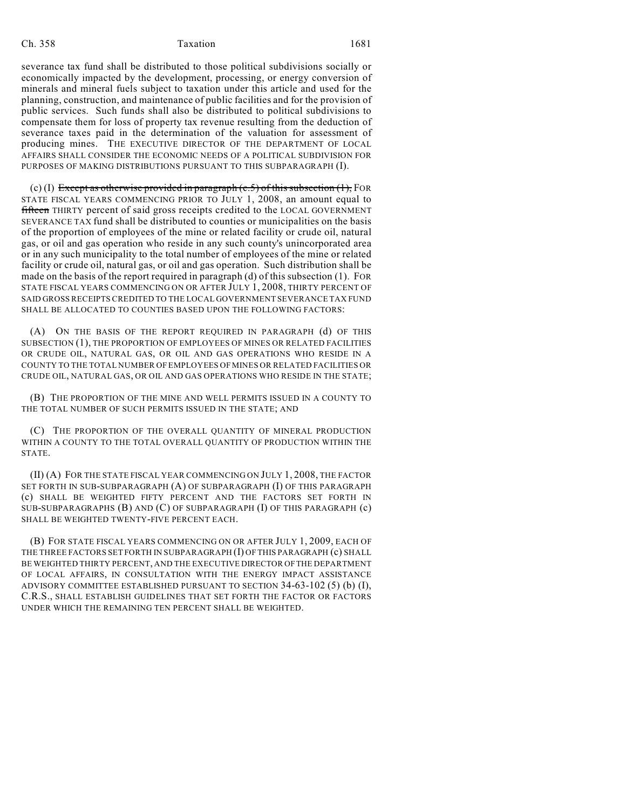severance tax fund shall be distributed to those political subdivisions socially or economically impacted by the development, processing, or energy conversion of minerals and mineral fuels subject to taxation under this article and used for the planning, construction, and maintenance of public facilities and for the provision of public services. Such funds shall also be distributed to political subdivisions to compensate them for loss of property tax revenue resulting from the deduction of severance taxes paid in the determination of the valuation for assessment of producing mines. THE EXECUTIVE DIRECTOR OF THE DEPARTMENT OF LOCAL AFFAIRS SHALL CONSIDER THE ECONOMIC NEEDS OF A POLITICAL SUBDIVISION FOR PURPOSES OF MAKING DISTRIBUTIONS PURSUANT TO THIS SUBPARAGRAPH (I).

(c) (I) Except as otherwise provided in paragraph  $(c.5)$  of this subsection  $(1)$ , FOR STATE FISCAL YEARS COMMENCING PRIOR TO JULY 1, 2008, an amount equal to **fifteen** THIRTY percent of said gross receipts credited to the LOCAL GOVERNMENT SEVERANCE TAX fund shall be distributed to counties or municipalities on the basis of the proportion of employees of the mine or related facility or crude oil, natural gas, or oil and gas operation who reside in any such county's unincorporated area or in any such municipality to the total number of employees of the mine or related facility or crude oil, natural gas, or oil and gas operation. Such distribution shall be made on the basis of the report required in paragraph (d) of this subsection (1). FOR STATE FISCAL YEARS COMMENCING ON OR AFTER JULY 1, 2008, THIRTY PERCENT OF SAID GROSS RECEIPTS CREDITED TO THE LOCAL GOVERNMENT SEVERANCE TAX FUND SHALL BE ALLOCATED TO COUNTIES BASED UPON THE FOLLOWING FACTORS:

(A) ON THE BASIS OF THE REPORT REQUIRED IN PARAGRAPH (d) OF THIS SUBSECTION (1), THE PROPORTION OF EMPLOYEES OF MINES OR RELATED FACILITIES OR CRUDE OIL, NATURAL GAS, OR OIL AND GAS OPERATIONS WHO RESIDE IN A COUNTY TO THE TOTAL NUMBER OF EMPLOYEES OF MINES OR RELATED FACILITIES OR CRUDE OIL, NATURAL GAS, OR OIL AND GAS OPERATIONS WHO RESIDE IN THE STATE;

(B) THE PROPORTION OF THE MINE AND WELL PERMITS ISSUED IN A COUNTY TO THE TOTAL NUMBER OF SUCH PERMITS ISSUED IN THE STATE; AND

(C) THE PROPORTION OF THE OVERALL QUANTITY OF MINERAL PRODUCTION WITHIN A COUNTY TO THE TOTAL OVERALL QUANTITY OF PRODUCTION WITHIN THE STATE.

(II) (A) FOR THE STATE FISCAL YEAR COMMENCING ON JULY 1, 2008, THE FACTOR SET FORTH IN SUB-SUBPARAGRAPH (A) OF SUBPARAGRAPH (I) OF THIS PARAGRAPH (c) SHALL BE WEIGHTED FIFTY PERCENT AND THE FACTORS SET FORTH IN SUB-SUBPARAGRAPHS (B) AND (C) OF SUBPARAGRAPH (I) OF THIS PARAGRAPH (c) SHALL BE WEIGHTED TWENTY-FIVE PERCENT EACH.

(B) FOR STATE FISCAL YEARS COMMENCING ON OR AFTER JULY 1, 2009, EACH OF THE THREE FACTORS SET FORTH IN SUBPARAGRAPH (I) OF THIS PARAGRAPH (c) SHALL BE WEIGHTED THIRTY PERCENT, AND THE EXECUTIVE DIRECTOR OF THE DEPARTMENT OF LOCAL AFFAIRS, IN CONSULTATION WITH THE ENERGY IMPACT ASSISTANCE ADVISORY COMMITTEE ESTABLISHED PURSUANT TO SECTION 34-63-102 (5) (b) (I), C.R.S., SHALL ESTABLISH GUIDELINES THAT SET FORTH THE FACTOR OR FACTORS UNDER WHICH THE REMAINING TEN PERCENT SHALL BE WEIGHTED.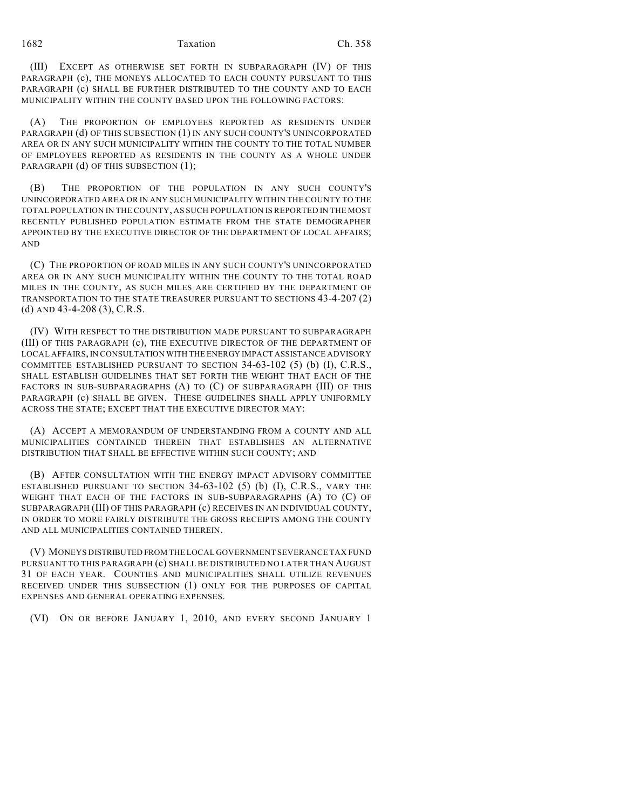(III) EXCEPT AS OTHERWISE SET FORTH IN SUBPARAGRAPH (IV) OF THIS PARAGRAPH (c), THE MONEYS ALLOCATED TO EACH COUNTY PURSUANT TO THIS PARAGRAPH (c) SHALL BE FURTHER DISTRIBUTED TO THE COUNTY AND TO EACH MUNICIPALITY WITHIN THE COUNTY BASED UPON THE FOLLOWING FACTORS:

(A) THE PROPORTION OF EMPLOYEES REPORTED AS RESIDENTS UNDER PARAGRAPH (d) OF THIS SUBSECTION (1) IN ANY SUCH COUNTY'S UNINCORPORATED AREA OR IN ANY SUCH MUNICIPALITY WITHIN THE COUNTY TO THE TOTAL NUMBER OF EMPLOYEES REPORTED AS RESIDENTS IN THE COUNTY AS A WHOLE UNDER PARAGRAPH (d) OF THIS SUBSECTION (1);

(B) THE PROPORTION OF THE POPULATION IN ANY SUCH COUNTY'S UNINCORPORATED AREA OR IN ANY SUCH MUNICIPALITY WITHIN THE COUNTY TO THE TOTAL POPULATION IN THE COUNTY, AS SUCH POPULATION IS REPORTED IN THE MOST RECENTLY PUBLISHED POPULATION ESTIMATE FROM THE STATE DEMOGRAPHER APPOINTED BY THE EXECUTIVE DIRECTOR OF THE DEPARTMENT OF LOCAL AFFAIRS; AND

(C) THE PROPORTION OF ROAD MILES IN ANY SUCH COUNTY'S UNINCORPORATED AREA OR IN ANY SUCH MUNICIPALITY WITHIN THE COUNTY TO THE TOTAL ROAD MILES IN THE COUNTY, AS SUCH MILES ARE CERTIFIED BY THE DEPARTMENT OF TRANSPORTATION TO THE STATE TREASURER PURSUANT TO SECTIONS 43-4-207 (2) (d) AND 43-4-208 (3), C.R.S.

(IV) WITH RESPECT TO THE DISTRIBUTION MADE PURSUANT TO SUBPARAGRAPH (III) OF THIS PARAGRAPH (c), THE EXECUTIVE DIRECTOR OF THE DEPARTMENT OF LOCAL AFFAIRS, IN CONSULTATION WITH THE ENERGY IMPACT ASSISTANCE ADVISORY COMMITTEE ESTABLISHED PURSUANT TO SECTION 34-63-102 (5) (b) (I), C.R.S., SHALL ESTABLISH GUIDELINES THAT SET FORTH THE WEIGHT THAT EACH OF THE FACTORS IN SUB-SUBPARAGRAPHS (A) TO (C) OF SUBPARAGRAPH (III) OF THIS PARAGRAPH (c) SHALL BE GIVEN. THESE GUIDELINES SHALL APPLY UNIFORMLY ACROSS THE STATE; EXCEPT THAT THE EXECUTIVE DIRECTOR MAY:

(A) ACCEPT A MEMORANDUM OF UNDERSTANDING FROM A COUNTY AND ALL MUNICIPALITIES CONTAINED THEREIN THAT ESTABLISHES AN ALTERNATIVE DISTRIBUTION THAT SHALL BE EFFECTIVE WITHIN SUCH COUNTY; AND

(B) AFTER CONSULTATION WITH THE ENERGY IMPACT ADVISORY COMMITTEE ESTABLISHED PURSUANT TO SECTION 34-63-102 (5) (b) (I), C.R.S., VARY THE WEIGHT THAT EACH OF THE FACTORS IN SUB-SUBPARAGRAPHS (A) TO (C) OF SUBPARAGRAPH (III) OF THIS PARAGRAPH (c) RECEIVES IN AN INDIVIDUAL COUNTY, IN ORDER TO MORE FAIRLY DISTRIBUTE THE GROSS RECEIPTS AMONG THE COUNTY AND ALL MUNICIPALITIES CONTAINED THEREIN.

(V) MONEYS DISTRIBUTED FROM THE LOCAL GOVERNMENT SEVERANCE TAX FUND PURSUANT TO THIS PARAGRAPH (c) SHALL BE DISTRIBUTED NO LATER THAN AUGUST 31 OF EACH YEAR. COUNTIES AND MUNICIPALITIES SHALL UTILIZE REVENUES RECEIVED UNDER THIS SUBSECTION (1) ONLY FOR THE PURPOSES OF CAPITAL EXPENSES AND GENERAL OPERATING EXPENSES.

(VI) ON OR BEFORE JANUARY 1, 2010, AND EVERY SECOND JANUARY 1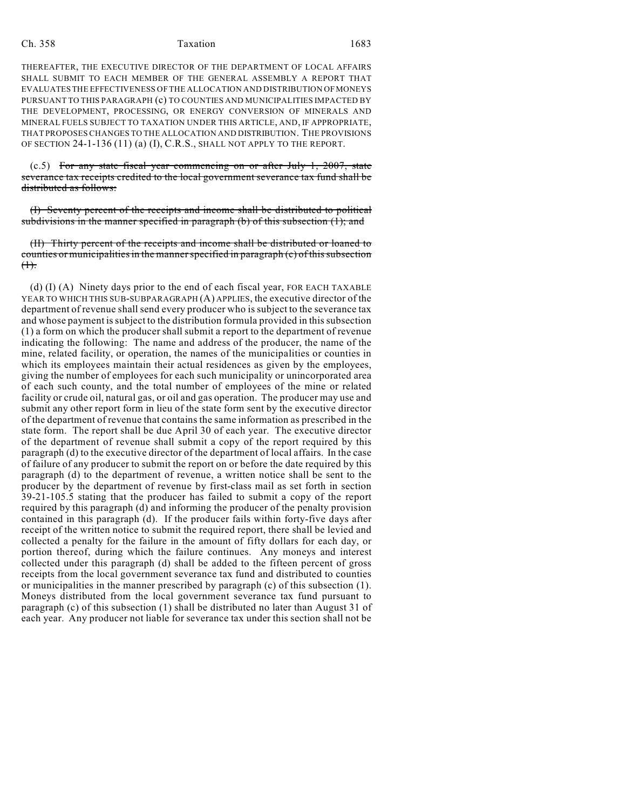THEREAFTER, THE EXECUTIVE DIRECTOR OF THE DEPARTMENT OF LOCAL AFFAIRS SHALL SUBMIT TO EACH MEMBER OF THE GENERAL ASSEMBLY A REPORT THAT EVALUATES THE EFFECTIVENESS OF THE ALLOCATION AND DISTRIBUTION OF MONEYS PURSUANT TO THIS PARAGRAPH (c) TO COUNTIES AND MUNICIPALITIES IMPACTED BY THE DEVELOPMENT, PROCESSING, OR ENERGY CONVERSION OF MINERALS AND MINERAL FUELS SUBJECT TO TAXATION UNDER THIS ARTICLE, AND, IF APPROPRIATE, THAT PROPOSES CHANGES TO THE ALLOCATION AND DISTRIBUTION. THE PROVISIONS OF SECTION 24-1-136 (11) (a) (I), C.R.S., SHALL NOT APPLY TO THE REPORT.

 $(c.5)$  For any state fiscal year commencing on or after July 1, 2007, state severance tax receipts credited to the local government severance tax fund shall be distributed as follows:

(I) Seventy percent of the receipts and income shall be distributed to political subdivisions in the manner specified in paragraph (b) of this subsection  $(1)$ ; and

(II) Thirty percent of the receipts and income shall be distributed or loaned to counties or municipalities in the manner specified in paragraph (c) of this subsection  $(1)$ .

(d) (I) (A) Ninety days prior to the end of each fiscal year, FOR EACH TAXABLE YEAR TO WHICH THIS SUB-SUBPARAGRAPH (A) APPLIES, the executive director of the department of revenue shall send every producer who is subject to the severance tax and whose payment is subject to the distribution formula provided in this subsection (1) a form on which the producer shall submit a report to the department of revenue indicating the following: The name and address of the producer, the name of the mine, related facility, or operation, the names of the municipalities or counties in which its employees maintain their actual residences as given by the employees, giving the number of employees for each such municipality or unincorporated area of each such county, and the total number of employees of the mine or related facility or crude oil, natural gas, or oil and gas operation. The producer may use and submit any other report form in lieu of the state form sent by the executive director of the department of revenue that contains the same information as prescribed in the state form. The report shall be due April 30 of each year. The executive director of the department of revenue shall submit a copy of the report required by this paragraph (d) to the executive director of the department of local affairs. In the case of failure of any producer to submit the report on or before the date required by this paragraph (d) to the department of revenue, a written notice shall be sent to the producer by the department of revenue by first-class mail as set forth in section 39-21-105.5 stating that the producer has failed to submit a copy of the report required by this paragraph (d) and informing the producer of the penalty provision contained in this paragraph (d). If the producer fails within forty-five days after receipt of the written notice to submit the required report, there shall be levied and collected a penalty for the failure in the amount of fifty dollars for each day, or portion thereof, during which the failure continues. Any moneys and interest collected under this paragraph (d) shall be added to the fifteen percent of gross receipts from the local government severance tax fund and distributed to counties or municipalities in the manner prescribed by paragraph (c) of this subsection (1). Moneys distributed from the local government severance tax fund pursuant to paragraph (c) of this subsection (1) shall be distributed no later than August 31 of each year. Any producer not liable for severance tax under this section shall not be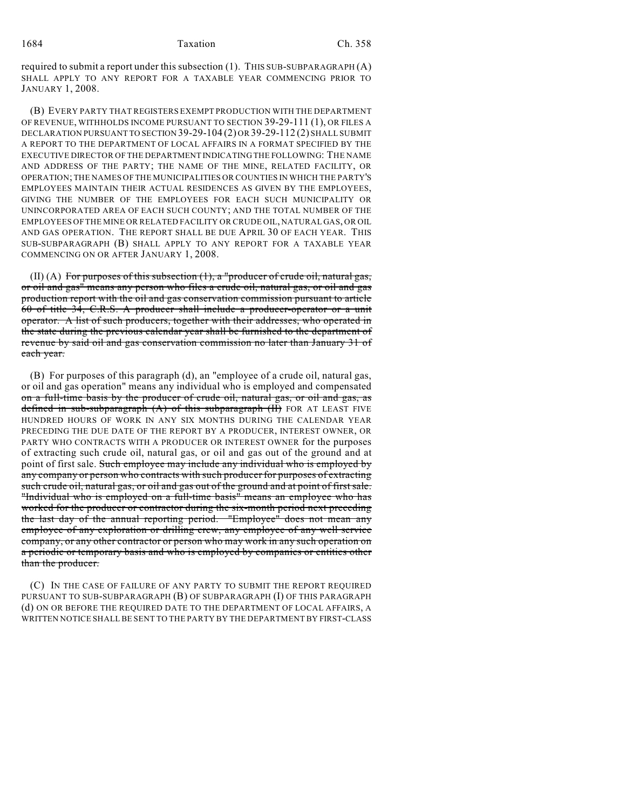#### 1684 Taxation Ch. 358

required to submit a report under this subsection (1). THIS SUB-SUBPARAGRAPH (A) SHALL APPLY TO ANY REPORT FOR A TAXABLE YEAR COMMENCING PRIOR TO JANUARY 1, 2008.

(B) EVERY PARTY THAT REGISTERS EXEMPT PRODUCTION WITH THE DEPARTMENT OF REVENUE, WITHHOLDS INCOME PURSUANT TO SECTION 39-29-111 (1), OR FILES A DECLARATION PURSUANT TO SECTION 39-29-104 (2) OR 39-29-112 (2) SHALL SUBMIT A REPORT TO THE DEPARTMENT OF LOCAL AFFAIRS IN A FORMAT SPECIFIED BY THE EXECUTIVE DIRECTOR OF THE DEPARTMENT INDICATING THE FOLLOWING: THE NAME AND ADDRESS OF THE PARTY; THE NAME OF THE MINE, RELATED FACILITY, OR OPERATION; THE NAMES OF THE MUNICIPALITIES OR COUNTIES IN WHICH THE PARTY'S EMPLOYEES MAINTAIN THEIR ACTUAL RESIDENCES AS GIVEN BY THE EMPLOYEES, GIVING THE NUMBER OF THE EMPLOYEES FOR EACH SUCH MUNICIPALITY OR UNINCORPORATED AREA OF EACH SUCH COUNTY; AND THE TOTAL NUMBER OF THE EMPLOYEES OF THE MINE OR RELATED FACILITY OR CRUDE OIL, NATURAL GAS, OR OIL AND GAS OPERATION. THE REPORT SHALL BE DUE APRIL 30 OF EACH YEAR. THIS SUB-SUBPARAGRAPH (B) SHALL APPLY TO ANY REPORT FOR A TAXABLE YEAR COMMENCING ON OR AFTER JANUARY 1, 2008.

 $(II)$  (A) For purposes of this subsection  $(1)$ , a "producer of crude oil, natural gas, or oil and gas" means any person who files a crude oil, natural gas, or oil and gas production report with the oil and gas conservation commission pursuant to article 60 of title 34, C.R.S. A producer shall include a producer-operator or a unit operator. A list of such producers, together with their addresses, who operated in the state during the previous calendar year shall be furnished to the department of revenue by said oil and gas conservation commission no later than January 31 of each year.

(B) For purposes of this paragraph (d), an "employee of a crude oil, natural gas, or oil and gas operation" means any individual who is employed and compensated on a full-time basis by the producer of crude oil, natural gas, or oil and gas, as defined in sub-subparagraph  $(A)$  of this subparagraph  $(H)$  FOR AT LEAST FIVE HUNDRED HOURS OF WORK IN ANY SIX MONTHS DURING THE CALENDAR YEAR PRECEDING THE DUE DATE OF THE REPORT BY A PRODUCER, INTEREST OWNER, OR PARTY WHO CONTRACTS WITH A PRODUCER OR INTEREST OWNER for the purposes of extracting such crude oil, natural gas, or oil and gas out of the ground and at point of first sale. Such employee may include any individual who is employed by any company or person who contracts with such producer for purposes of extracting such crude oil, natural gas, or oil and gas out of the ground and at point of first sale. "Individual who is employed on a full-time basis" means an employee who has worked for the producer or contractor during the six-month period next preceding the last day of the annual reporting period. "Employee" does not mean any employee of any exploration or drilling crew, any employee of any well service company, or any other contractor or person who may work in any such operation on a periodic or temporary basis and who is employed by companies or entities other than the producer.

(C) IN THE CASE OF FAILURE OF ANY PARTY TO SUBMIT THE REPORT REQUIRED PURSUANT TO SUB-SUBPARAGRAPH (B) OF SUBPARAGRAPH (I) OF THIS PARAGRAPH (d) ON OR BEFORE THE REQUIRED DATE TO THE DEPARTMENT OF LOCAL AFFAIRS, A WRITTEN NOTICE SHALL BE SENT TO THE PARTY BY THE DEPARTMENT BY FIRST-CLASS